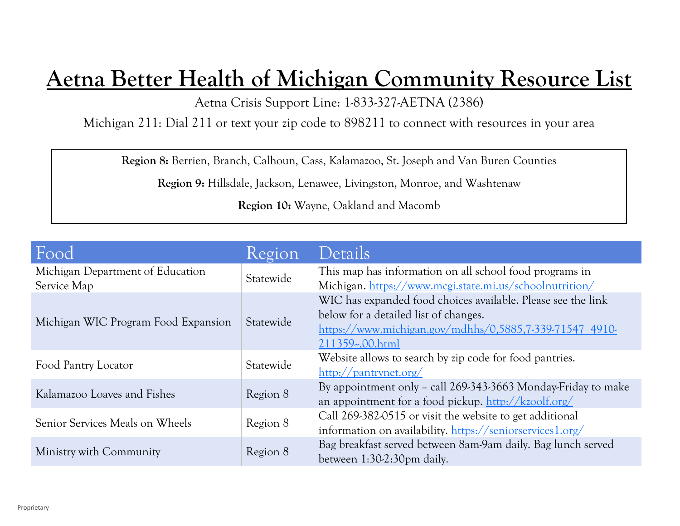## **Aetna Better Health of Michigan Community Resource List**

Aetna Crisis Support Line: 1-833-327-AETNA (2386)

Michigan 211: Dial 211 or text your zip code to 898211 to connect with resources in your area

**Region 8:** Berrien, Branch, Calhoun, Cass, Kalamazoo, St. Joseph and Van Buren Counties

**Region 9:** Hillsdale, Jackson, Lenawee, Livingston, Monroe, and Washtenaw

**Region 10:** Wayne, Oakland and Macomb

| Food                                | Region    | Details                                                                                         |
|-------------------------------------|-----------|-------------------------------------------------------------------------------------------------|
| Michigan Department of Education    | Statewide | This map has information on all school food programs in                                         |
| Service Map                         |           | Michigan. https://www.mcgi.state.mi.us/schoolnutrition/                                         |
|                                     | Statewide | WIC has expanded food choices available. Please see the link                                    |
| Michigan WIC Program Food Expansion |           | below for a detailed list of changes.                                                           |
|                                     |           | https://www.michigan.gov/mdhhs/0,5885,7-339-71547 4910-                                         |
|                                     |           | 211359-,00.html                                                                                 |
| Food Pantry Locator                 | Statewide | Website allows to search by zip code for food pantries.                                         |
|                                     |           | $\frac{\text{http://pantrynet.org/}}{}$                                                         |
| Kalamazoo Loaves and Fishes         | Region 8  | By appointment only - call 269-343-3663 Monday-Friday to make                                   |
|                                     |           | an appointment for a food pickup. $\frac{\text{http://kzoolf.org/}}{\text{http://kzoolf.org/}}$ |
| Senior Services Meals on Wheels     | Region 8  | Call 269-382-0515 or visit the website to get additional                                        |
|                                     |           | information on availability. https://seniorservices1.org/                                       |
| Ministry with Community             | Region 8  | Bag breakfast served between 8am-9am daily. Bag lunch served                                    |
|                                     |           | between 1:30-2:30pm daily.                                                                      |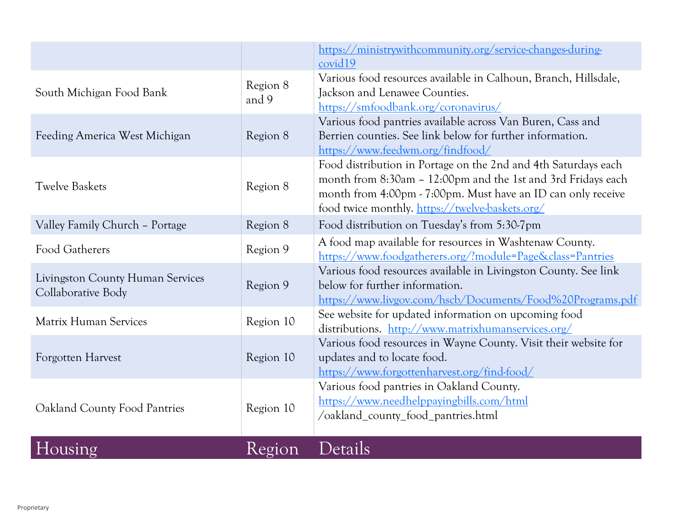|                                                               |                   | https://ministrywithcommunity.org/service-changes-during-<br>covid19                                                                                                                                                                              |
|---------------------------------------------------------------|-------------------|---------------------------------------------------------------------------------------------------------------------------------------------------------------------------------------------------------------------------------------------------|
| South Michigan Food Bank                                      | Region 8<br>and 9 | Various food resources available in Calhoun, Branch, Hillsdale,<br>Jackson and Lenawee Counties.<br>https://smfoodbank.org/coronavirus/                                                                                                           |
| Feeding America West Michigan                                 | Region 8          | Various food pantries available across Van Buren, Cass and<br>Berrien counties. See link below for further information.<br>https://www.feedwm.org/findfood/                                                                                       |
| <b>Twelve Baskets</b>                                         | Region 8          | Food distribution in Portage on the 2nd and 4th Saturdays each<br>month from 8:30am - 12:00pm and the 1st and 3rd Fridays each<br>month from 4:00pm - 7:00pm. Must have an ID can only receive<br>food twice monthly. https://twelve-baskets.org/ |
| Valley Family Church - Portage                                | Region 8          | Food distribution on Tuesday's from 5:30-7pm                                                                                                                                                                                                      |
| Food Gatherers                                                | Region 9          | A food map available for resources in Washtenaw County.<br>https://www.foodgatherers.org/?module=Page&class=Pantries                                                                                                                              |
| <b>Livingston County Human Services</b><br>Collaborative Body | Region 9          | Various food resources available in Livingston County. See link<br>below for further information.<br>https://www.livgov.com/hscb/Documents/Food%20Programs.pdf                                                                                    |
| <b>Matrix Human Services</b>                                  | Region 10         | See website for updated information on upcoming food<br>distributions. http://www.matrixhumanservices.org/                                                                                                                                        |
| Forgotten Harvest                                             | Region 10         | Various food resources in Wayne County. Visit their website for<br>updates and to locate food.<br>https://www.forgottenharvest.org/find-food/                                                                                                     |
| Oakland County Food Pantries                                  | Region 10         | Various food pantries in Oakland County.<br>https://www.needhelppayingbills.com/html<br>/oakland_county_food_pantries.html                                                                                                                        |
| Housing                                                       | Region            | Details                                                                                                                                                                                                                                           |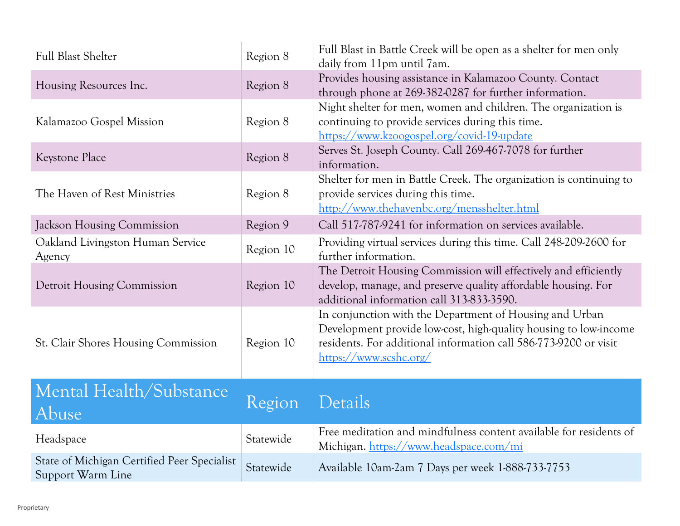| <b>Full Blast Shelter</b>                                        | Region 8  | Full Blast in Battle Creek will be open as a shelter for men only<br>daily from 11pm until 7am.                                                                                                                           |
|------------------------------------------------------------------|-----------|---------------------------------------------------------------------------------------------------------------------------------------------------------------------------------------------------------------------------|
| Housing Resources Inc.                                           | Region 8  | Provides housing assistance in Kalamazoo County. Contact<br>through phone at 269-382-0287 for further information.                                                                                                        |
| Kalamazoo Gospel Mission                                         | Region 8  | Night shelter for men, women and children. The organization is<br>continuing to provide services during this time.<br>https://www.kzoogospel.org/covid-19-update                                                          |
| Keystone Place                                                   | Region 8  | Serves St. Joseph County. Call 269-467-7078 for further<br>information.                                                                                                                                                   |
| The Haven of Rest Ministries                                     | Region 8  | Shelter for men in Battle Creek. The organization is continuing to<br>provide services during this time.<br>http://www.thehavenbc.org/mensshelter.html                                                                    |
| <b>Jackson Housing Commission</b>                                | Region 9  | Call 517-787-9241 for information on services available.                                                                                                                                                                  |
| Oakland Livingston Human Service<br>Agency                       | Region 10 | Providing virtual services during this time. Call 248-209-2600 for<br>further information.                                                                                                                                |
| <b>Detroit Housing Commission</b>                                | Region 10 | The Detroit Housing Commission will effectively and efficiently<br>develop, manage, and preserve quality affordable housing. For<br>additional information call 313-833-3590.                                             |
| St. Clair Shores Housing Commission                              | Region 10 | In conjunction with the Department of Housing and Urban<br>Development provide low-cost, high-quality housing to low-income<br>residents. For additional information call 586-773-9200 or visit<br>https://www.scshc.org/ |
| Mental Health/Substance<br>Abuse                                 | Region    | Details                                                                                                                                                                                                                   |
| Headspace                                                        | Statewide | Free meditation and mindfulness content available for residents of<br>Michigan. https://www.headspace.com/mi                                                                                                              |
| State of Michigan Certified Peer Specialist<br>Support Warm Line | Statewide | Available 10am-2am 7 Days per week 1-888-733-7753                                                                                                                                                                         |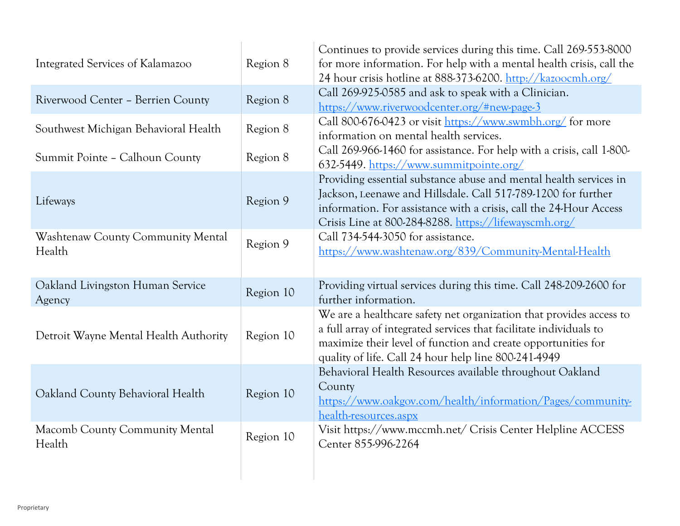| Integrated Services of Kalamazoo            | Region 8  | Continues to provide services during this time. Call 269-553-8000<br>for more information. For help with a mental health crisis, call the<br>24 hour crisis hotline at 888-373-6200. http://kazoocmh.org/                                                          |
|---------------------------------------------|-----------|--------------------------------------------------------------------------------------------------------------------------------------------------------------------------------------------------------------------------------------------------------------------|
| Riverwood Center - Berrien County           | Region 8  | Call 269-925-0585 and ask to speak with a Clinician.<br>https://www.riverwoodcenter.org/#new-page-3                                                                                                                                                                |
| Southwest Michigan Behavioral Health        | Region 8  | Call 800-676-0423 or visit https://www.swmbh.org/ for more<br>information on mental health services.                                                                                                                                                               |
| Summit Pointe - Calhoun County              | Region 8  | Call 269-966-1460 for assistance. For help with a crisis, call 1-800-<br>632-5449. https://www.summitpointe.org/                                                                                                                                                   |
| Lifeways                                    | Region 9  | Providing essential substance abuse and mental health services in<br>Jackson, Leenawe and Hillsdale. Call 517-789-1200 for further<br>information. For assistance with a crisis, call the 24-Hour Access<br>Crisis Line at 800-284-8288. https://lifewayscmh.org/  |
| Washtenaw County Community Mental<br>Health | Region 9  | Call 734-544-3050 for assistance.<br>https://www.washtenaw.org/839/Community-Mental-Health                                                                                                                                                                         |
| Oakland Livingston Human Service<br>Agency  | Region 10 | Providing virtual services during this time. Call 248-209-2600 for<br>further information.                                                                                                                                                                         |
| Detroit Wayne Mental Health Authority       | Region 10 | We are a healthcare safety net organization that provides access to<br>a full array of integrated services that facilitate individuals to<br>maximize their level of function and create opportunities for<br>quality of life. Call 24 hour help line 800-241-4949 |
| Oakland County Behavioral Health            | Region 10 | Behavioral Health Resources available throughout Oakland<br>County<br>https://www.oakgov.com/health/information/Pages/community-<br>health-resources.aspx                                                                                                          |
| Macomb County Community Mental<br>Health    | Region 10 | Visit https://www.mccmh.net/ Crisis Center Helpline ACCESS<br>Center 855-996-2264                                                                                                                                                                                  |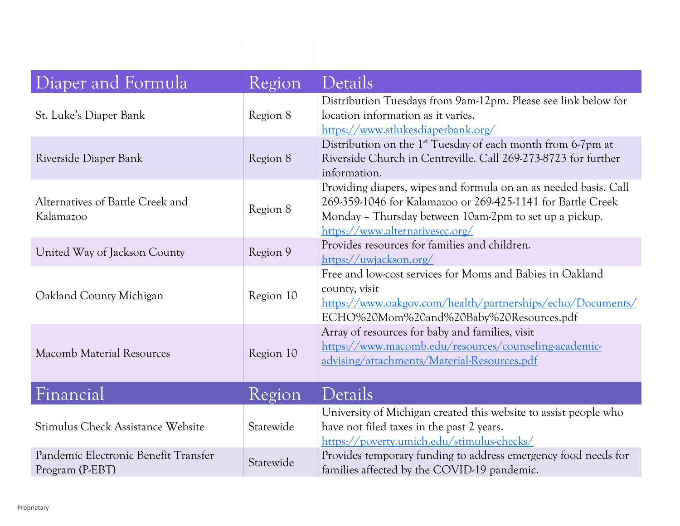| Diaper and Formula                                      | Region    | Details                                                                                                                                                                                                                      |
|---------------------------------------------------------|-----------|------------------------------------------------------------------------------------------------------------------------------------------------------------------------------------------------------------------------------|
| St. Luke's Diaper Bank                                  | Region 8  | Distribution Tuesdays from 9am-12pm. Please see link below for<br>location information as it varies.<br>https://www.stlukesdiaperbank.org/                                                                                   |
| Riverside Diaper Bank                                   | Region 8  | Distribution on the 1 <sup>st</sup> Tuesday of each month from 6-7pm at<br>Riverside Church in Centreville. Call 269-273-8723 for further<br>information.                                                                    |
| Alternatives of Battle Creek and<br>Kalamazoo           | Region 8  | Providing diapers, wipes and formula on an as needed basis. Call<br>269-359-1046 for Kalamazoo or 269-425-1141 for Battle Creek<br>Monday - Thursday between 10am-2pm to set up a pickup.<br>https://www.alternativescc.org/ |
| United Way of Jackson County                            | Region 9  | Provides resources for families and children.<br>https://uwjackson.org/                                                                                                                                                      |
| Oakland County Michigan                                 | Region 10 | Free and low-cost services for Moms and Babies in Oakland<br>county, visit<br>https://www.oakgov.com/health/partnerships/echo/Documents/<br>ECHO%20Mom%20and%20Baby%20Resources.pdf                                          |
| <b>Macomb Material Resources</b>                        | Region 10 | Array of resources for baby and families, visit<br>https://www.macomb.edu/resources/counseling-academic-<br>advising/attachments/Material-Resources.pdf                                                                      |
| Financial                                               | Region    | Details                                                                                                                                                                                                                      |
| Stimulus Check Assistance Website                       | Statewide | University of Michigan created this website to assist people who<br>have not filed taxes in the past 2 years.<br>https://poverty.umich.edu/stimulus-checks/                                                                  |
| Pandemic Electronic Benefit Transfer<br>Program (P-EBT) | Statewide | Provides temporary funding to address emergency food needs for<br>families affected by the COVID-19 pandemic.                                                                                                                |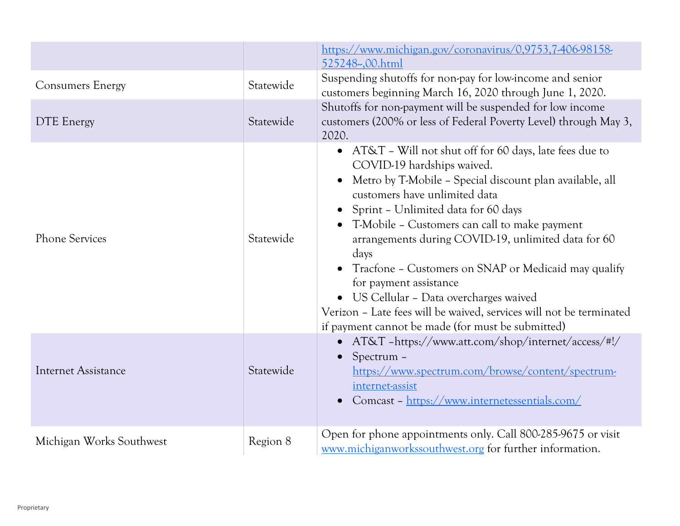|                            |           | https://www.michigan.gov/coronavirus/0,9753,7406-98158-<br>525248-,00.html                                                                                                                                                                                                                                                                                                                                                                                                                                                                                                                                     |
|----------------------------|-----------|----------------------------------------------------------------------------------------------------------------------------------------------------------------------------------------------------------------------------------------------------------------------------------------------------------------------------------------------------------------------------------------------------------------------------------------------------------------------------------------------------------------------------------------------------------------------------------------------------------------|
| <b>Consumers Energy</b>    | Statewide | Suspending shutoffs for non-pay for low-income and senior<br>customers beginning March 16, 2020 through June 1, 2020.                                                                                                                                                                                                                                                                                                                                                                                                                                                                                          |
| <b>DTE</b> Energy          | Statewide | Shutoffs for non-payment will be suspended for low income<br>customers (200% or less of Federal Poverty Level) through May 3,<br>2020.                                                                                                                                                                                                                                                                                                                                                                                                                                                                         |
| <b>Phone Services</b>      | Statewide | AT&T - Will not shut off for 60 days, late fees due to<br>$\bullet$<br>COVID-19 hardships waived.<br>Metro by T-Mobile - Special discount plan available, all<br>customers have unlimited data<br>Sprint - Unlimited data for 60 days<br>T-Mobile - Customers can call to make payment<br>arrangements during COVID-19, unlimited data for 60<br>days<br>Tracfone - Customers on SNAP or Medicaid may qualify<br>for payment assistance<br>• US Cellular - Data overcharges waived<br>Verizon - Late fees will be waived, services will not be terminated<br>if payment cannot be made (for must be submitted) |
| <b>Internet Assistance</b> | Statewide | • AT&T -https://www.att.com/shop/internet/access/#!/<br>Spectrum -<br>https://www.spectrum.com/browse/content/spectrum-<br>internet-assist<br>Comcast - https://www.internetessentials.com/                                                                                                                                                                                                                                                                                                                                                                                                                    |
| Michigan Works Southwest   | Region 8  | Open for phone appointments only. Call 800-285-9675 or visit<br>www.michiganworkssouthwest.org for further information.                                                                                                                                                                                                                                                                                                                                                                                                                                                                                        |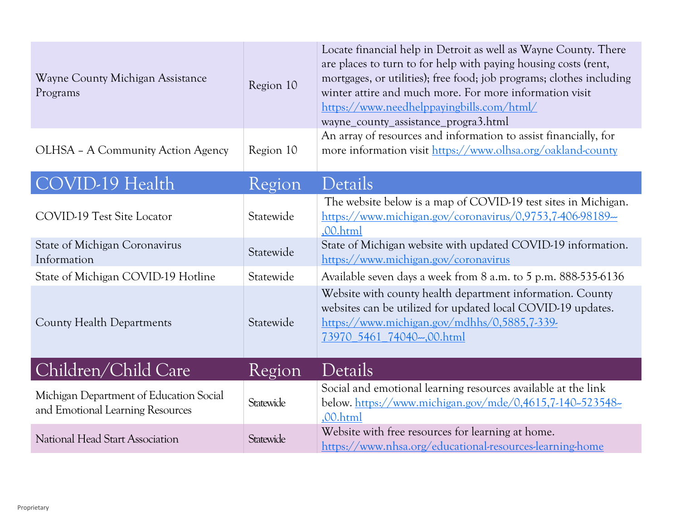| Wayne County Michigan Assistance<br>Programs                                | Region 10 | Locate financial help in Detroit as well as Wayne County. There<br>are places to turn to for help with paying housing costs (rent,<br>mortgages, or utilities); free food; job programs; clothes including<br>winter attire and much more. For more information visit<br>https://www.needhelppayingbills.com/html/<br>wayne_county_assistance_progra3.html |
|-----------------------------------------------------------------------------|-----------|------------------------------------------------------------------------------------------------------------------------------------------------------------------------------------------------------------------------------------------------------------------------------------------------------------------------------------------------------------|
| OLHSA - A Community Action Agency                                           | Region 10 | An array of resources and information to assist financially, for<br>more information visit https://www.olhsa.org/oakland-county                                                                                                                                                                                                                            |
| COVID-19 Health                                                             | Region    | Details                                                                                                                                                                                                                                                                                                                                                    |
| COVID-19 Test Site Locator                                                  | Statewide | The website below is a map of COVID-19 test sites in Michigan.<br>https://www.michigan.gov/coronavirus/0,9753,7-406-98189-<br>,00.html                                                                                                                                                                                                                     |
| State of Michigan Coronavirus<br>Information                                | Statewide | State of Michigan website with updated COVID-19 information.<br>https://www.michigan.gov/coronavirus                                                                                                                                                                                                                                                       |
| State of Michigan COVID-19 Hotline                                          | Statewide | Available seven days a week from 8 a.m. to 5 p.m. 888-535-6136                                                                                                                                                                                                                                                                                             |
| <b>County Health Departments</b>                                            | Statewide | Website with county health department information. County<br>websites can be utilized for updated local COVID-19 updates.<br>https://www.michigan.gov/mdhhs/0,5885,7-339-<br>73970 5461 74040-00.html                                                                                                                                                      |
| Children/Child Care                                                         | Region    | Details                                                                                                                                                                                                                                                                                                                                                    |
| Michigan Department of Education Social<br>and Emotional Learning Resources | Statewide | Social and emotional learning resources available at the link<br>below. https://www.michigan.gov/mde/0,4615,7-140-523548-<br>,00.html                                                                                                                                                                                                                      |
| National Head Start Association                                             | Statewide | Website with free resources for learning at home.<br>https://www.nhsa.org/educational-resources-learning-home                                                                                                                                                                                                                                              |